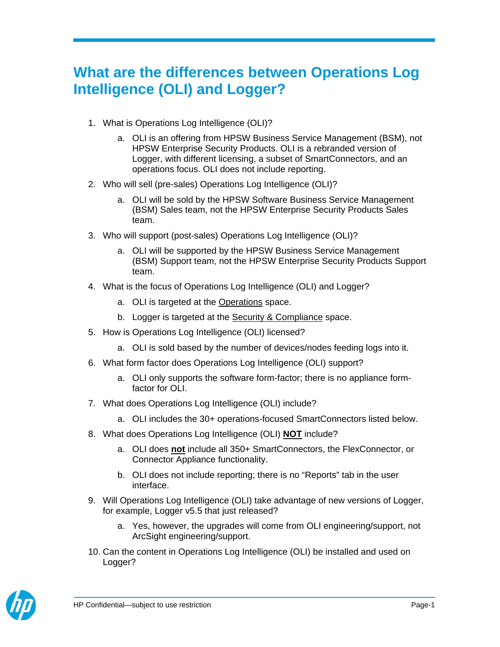## **What are the differences between Operations Log Intelligence (OLI) and Logger?**

- 1. What is Operations Log Intelligence (OLI)?
	- a. OLI is an offering from HPSW Business Service Management (BSM), not HPSW Enterprise Security Products. OLI is a rebranded version of Logger, with different licensing, a subset of SmartConnectors, and an operations focus. OLI does not include reporting.
- 2. Who will sell (pre-sales) Operations Log Intelligence (OLI)?
	- a. OLI will be sold by the HPSW Software Business Service Management (BSM) Sales team, not the HPSW Enterprise Security Products Sales team.
- 3. Who will support (post-sales) Operations Log Intelligence (OLI)?
	- a. OLI will be supported by the HPSW Business Service Management (BSM) Support team, not the HPSW Enterprise Security Products Support team.
- 4. What is the focus of Operations Log Intelligence (OLI) and Logger?
	- a. OLI is targeted at the Operations space.
	- b. Logger is targeted at the Security & Compliance space.
- 5. How is Operations Log Intelligence (OLI) licensed?
	- a. OLI is sold based by the number of devices/nodes feeding logs into it.
- 6. What form factor does Operations Log Intelligence (OLI) support?
	- a. OLI only supports the software form-factor; there is no appliance formfactor for OLI.
- 7. What does Operations Log Intelligence (OLI) include?
	- a. OLI includes the 30+ operations-focused SmartConnectors listed below.
- 8. What does Operations Log Intelligence (OLI) **NOT** include?
	- a. OLI does **not** include all 350+ SmartConnectors, the FlexConnector, or Connector Appliance functionality.
	- b. OLI does not include reporting; there is no "Reports" tab in the user interface.
- 9. Will Operations Log Intelligence (OLI) take advantage of new versions of Logger, for example, Logger v5.5 that just released?
	- a. Yes, however, the upgrades will come from OLI engineering/support, not ArcSight engineering/support.
- 10. Can the content in Operations Log Intelligence (OLI) be installed and used on Logger?

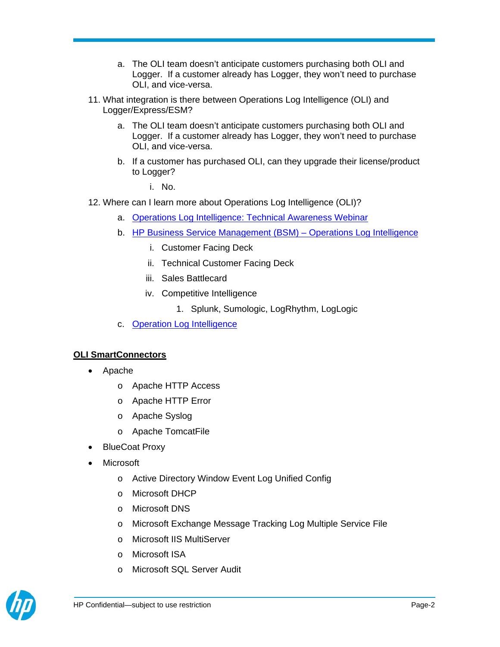- a. The OLI team doesn't anticipate customers purchasing both OLI and Logger. If a customer already has Logger, they won't need to purchase OLI, and vice-versa.
- 11. What integration is there between Operations Log Intelligence (OLI) and Logger/Express/ESM?
	- a. The OLI team doesn't anticipate customers purchasing both OLI and Logger. If a customer already has Logger, they won't need to purchase OLI, and vice-versa.
	- b. If a customer has purchased OLI, can they upgrade their license/product to Logger?

i. No.

- 12. Where can I learn more about Operations Log Intelligence (OLI)?
	- a. Operations Log Intelligence: Technical Awareness Webinar
	- b. HP Business Service Management (BSM) Operations Log Intelligence
		- i. Customer Facing Deck
		- ii. Technical Customer Facing Deck
		- iii. Sales Battlecard
		- iv. Competitive Intelligence
			- 1. Splunk, Sumologic, LogRhythm, LogLogic
	- c. Operation Log Intelligence

## **OLI SmartConnectors**

- Apache
	- o Apache HTTP Access
	- o Apache HTTP Error
	- o Apache Syslog
	- o Apache TomcatFile
- BlueCoat Proxy
- Microsoft
	- o Active Directory Window Event Log Unified Config
	- o Microsoft DHCP
	- o Microsoft DNS
	- o Microsoft Exchange Message Tracking Log Multiple Service File
	- o Microsoft IIS MultiServer
	- o Microsoft ISA
	- o Microsoft SQL Server Audit